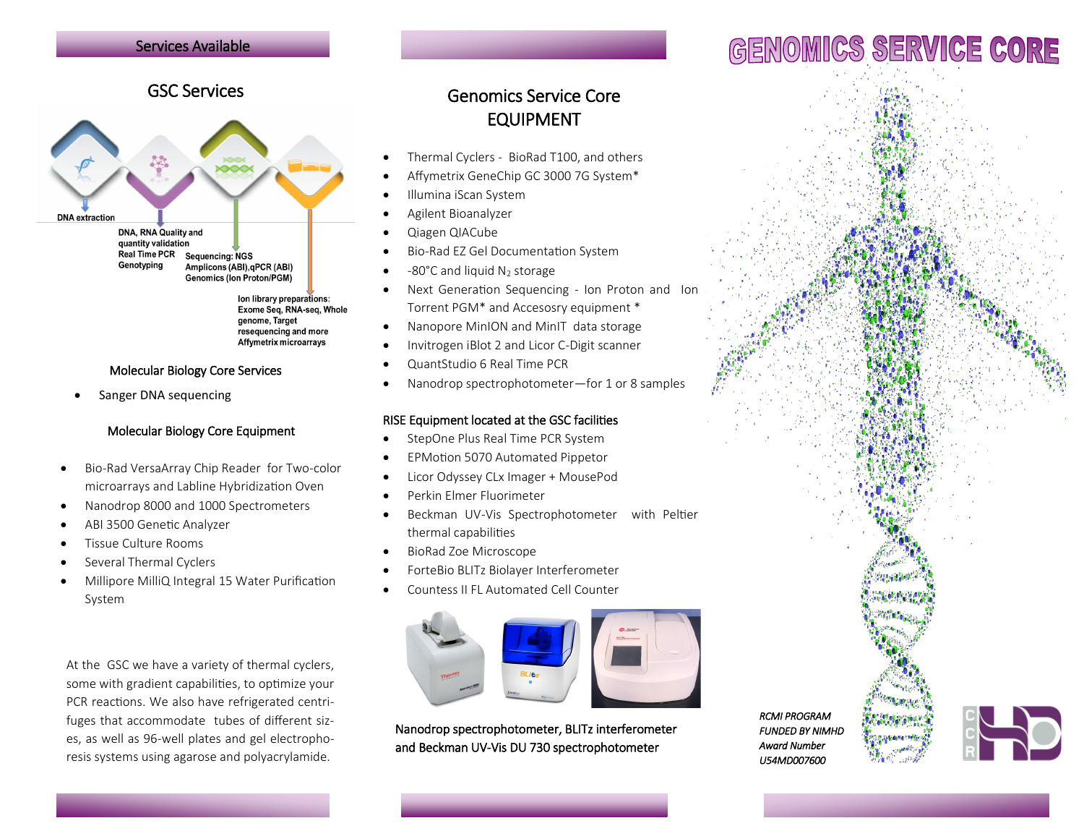# Services Available

# GSC Services



#### Molecular Biology Core Services

Sanger DNA sequencing

#### Molecular Biology Core Equipment

- Bio-Rad VersaArray Chip Reader for Two-color microarrays and Labline Hybridization Oven
- Nanodrop 8000 and 1000 Spectrometers
- ABI 3500 Genetic Analyzer
- Tissue Culture Rooms
- Several Thermal Cyclers
- Millipore MilliQ Integral 15 Water Purification System

At the GSC we have a variety of thermal cyclers, some with gradient capabilities, to optimize your PCR reactions. We also have refrigerated centrifuges that accommodate tubes of different sizes, as well as 96-well plates and gel electrophoresis systems using agarose and polyacrylamide.

# Genomics Service Core EQUIPMENT

- Thermal Cyclers BioRad T100, and others
- Affymetrix GeneChip GC 3000 7G System\*
- Illumina iScan System
- Agilent Bioanalyzer
- Qiagen QIACube
- Bio-Rad EZ Gel Documentation System
- -80°C and liquid  $N_2$  storage
- Next Generation Sequencing Ion Proton and Ion Torrent PGM\* and Accesosry equipment \*
- Nanopore MinION and MinIT data storage
- Invitrogen iBlot 2 and Licor C-Digit scanner
- QuantStudio 6 Real Time PCR
- Nanodrop spectrophotometer-for 1 or 8 samples

#### RISE Equipment located at the GSC facilities

- StepOne Plus Real Time PCR System
- EPMotion 5070 Automated Pippetor
- Licor Odyssey CLx Imager + MousePod
- Perkin Elmer Fluorimeter
- Beckman UV-Vis Spectrophotometer with Peltier thermal capabilities
- BioRad Zoe Microscope
- ForteBio BLITz Biolayer Interferometer
- Countess II FL Automated Cell Counter



Nanodrop spectrophotometer, BLITz interferometer and Beckman UV-Vis DU 730 spectrophotometer

*RCMI PROGRAM FUNDED BY NIMHD Award Number U54MD007600* 



# GENOMICS SERVICE CORE